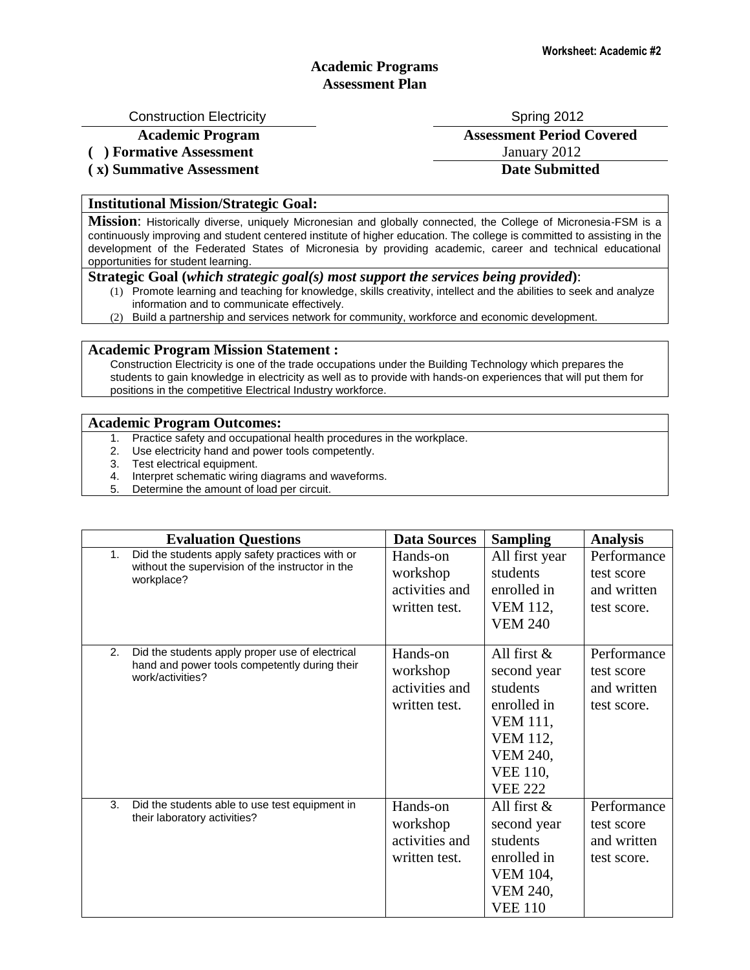## **Academic Programs Assessment Plan**

Construction Electricity **Spring 2012** Spring 2012

**( ) Formative Assessment** January 2012

**( x) Summative Assessment Date Submitted**

**Academic Program Assessment Period Covered**

### **Institutional Mission/Strategic Goal:**

**Mission**: Historically diverse, uniquely Micronesian and globally connected, the College of Micronesia-FSM is a continuously improving and student centered institute of higher education. The college is committed to assisting in the development of the Federated States of Micronesia by providing academic, career and technical educational opportunities for student learning.

#### **Strategic Goal (***which strategic goal(s) most support the services being provided***)**:

- (1) Promote learning and teaching for knowledge, skills creativity, intellect and the abilities to seek and analyze information and to communicate effectively.
- (2) Build a partnership and services network for community, workforce and economic development.

### **Academic Program Mission Statement :**

Construction Electricity is one of the trade occupations under the Building Technology which prepares the students to gain knowledge in electricity as well as to provide with hands-on experiences that will put them for positions in the competitive Electrical Industry workforce.

#### **Academic Program Outcomes:**

- 1. Practice safety and occupational health procedures in the workplace.
- 2. Use electricity hand and power tools competently.
- 3. Test electrical equipment.
- 4. Interpret schematic wiring diagrams and waveforms.
- 5. Determine the amount of load per circuit.

| <b>Evaluation Questions</b> |                                                                                                                      | <b>Data Sources</b>                                     | <b>Sampling</b>                                                                                                                                        | <b>Analysis</b>                                         |
|-----------------------------|----------------------------------------------------------------------------------------------------------------------|---------------------------------------------------------|--------------------------------------------------------------------------------------------------------------------------------------------------------|---------------------------------------------------------|
| 1 <sub>1</sub>              | Did the students apply safety practices with or<br>without the supervision of the instructor in the<br>workplace?    | Hands-on<br>workshop<br>activities and<br>written test. | All first year<br>students<br>enrolled in<br><b>VEM 112,</b><br><b>VEM 240</b>                                                                         | Performance<br>test score<br>and written<br>test score. |
| 2.                          | Did the students apply proper use of electrical<br>hand and power tools competently during their<br>work/activities? | Hands-on<br>workshop<br>activities and<br>written test. | All first $\&$<br>second year<br>students<br>enrolled in<br><b>VEM 111,</b><br><b>VEM 112,</b><br><b>VEM 240,</b><br><b>VEE 110,</b><br><b>VEE 222</b> | Performance<br>test score<br>and written<br>test score. |
| 3.                          | Did the students able to use test equipment in<br>their laboratory activities?                                       | Hands-on<br>workshop<br>activities and<br>written test. | All first $\&$<br>second year<br>students<br>enrolled in<br>VEM 104,<br>VEM 240,<br><b>VEE 110</b>                                                     | Performance<br>test score<br>and written<br>test score. |